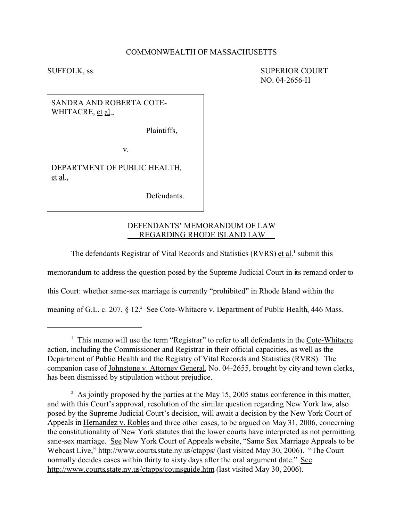## COMMONWEALTH OF MASSACHUSETTS

SUFFOLK, ss. SUPERIOR COURT NO. 04-2656-H

SANDRA AND ROBERTA COTE-WHITACRE, et al.,

Plaintiffs,

v.

DEPARTMENT OF PUBLIC HEALTH, et al.,

Defendants.

# DEFENDANTS' MEMORANDUM OF LAW REGARDING RHODE ISLAND LAW

The defendants Registrar of Vital Records and Statistics (RVRS) et al.<sup>1</sup> submit this

memorandum to address the question posed by the Supreme Judicial Court in its remand order to

this Court: whether same-sex marriage is currently "prohibited" in Rhode Island within the

meaning of G.L. c. 207, § 12.<sup>2</sup> See Cote-Whitacre v. Department of Public Health, 446 Mass.

<sup>&</sup>lt;sup>1</sup> This memo will use the term "Registrar" to refer to all defendants in the Cote-Whitacre action, including the Commissioner and Registrar in their official capacities, as well as the Department of Public Health and the Registry of Vital Records and Statistics (RVRS). The companion case of Johnstone v. Attorney General, No. 04-2655, brought by city and town clerks, has been dismissed by stipulation without prejudice.

 $2^2$  As jointly proposed by the parties at the May 15, 2005 status conference in this matter, and with this Court's approval, resolution of the similar question regarding New York law, also posed by the Supreme Judicial Court's decision, will await a decision by the New York Court of Appeals in Hernandez v. Robles and three other cases, to be argued on May 31, 2006, concerning the constitutionality of New York statutes that the lower courts have interpreted as not permitting sane-sex marriage. See New York Court of Appeals website, "Same Sex Marriage Appeals to be Webcast Live," http://www.courts.state.ny.us/ctapps/ (last visited May 30, 2006). "The Court normally decides cases within thirty to sixty days after the oral argument date." See http://www.courts.state.ny.us/ctapps/counsguide.htm (last visited May 30, 2006).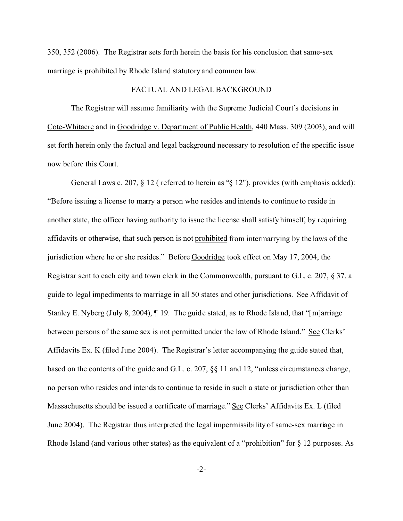350, 352 (2006). The Registrar sets forth herein the basis for his conclusion that same-sex marriage is prohibited by Rhode Island statutory and common law.

### FACTUAL AND LEGAL BACKGROUND

The Registrar will assume familiarity with the Supreme Judicial Court's decisions in Cote-Whitacre and in Goodridge v. Department of Public Health, 440 Mass. 309 (2003), and will set forth herein only the factual and legal background necessary to resolution of the specific issue now before this Court.

General Laws c. 207, § 12 (referred to herein as "§ 12"), provides (with emphasis added): "Before issuing a license to marry a person who resides and intends to continue to reside in another state, the officer having authority to issue the license shall satisfy himself, by requiring affidavits or otherwise, that such person is not prohibited from intermarrying by the laws of the jurisdiction where he or she resides." Before Goodridge took effect on May 17, 2004, the Registrar sent to each city and town clerk in the Commonwealth, pursuant to G.L. c. 207, § 37, a guide to legal impediments to marriage in all 50 states and other jurisdictions. See Affidavit of Stanley E. Nyberg (July 8, 2004), ¶ 19. The guide stated, as to Rhode Island, that "[m]arriage between persons of the same sex is not permitted under the law of Rhode Island." See Clerks' Affidavits Ex. K (filed June 2004). The Registrar's letter accompanying the guide stated that, based on the contents of the guide and G.L. c. 207, §§ 11 and 12, "unless circumstances change, no person who resides and intends to continue to reside in such a state or jurisdiction other than Massachusetts should be issued a certificate of marriage." See Clerks' Affidavits Ex. L (filed June 2004). The Registrar thus interpreted the legal impermissibility of same-sex marriage in Rhode Island (and various other states) as the equivalent of a "prohibition" for § 12 purposes. As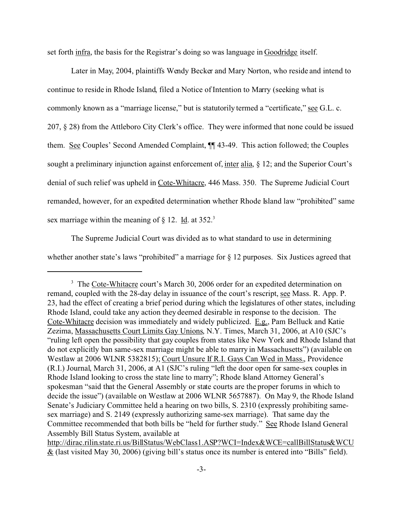set forth infra, the basis for the Registrar's doing so was language in Goodridge itself.

Later in May, 2004, plaintiffs Wendy Becker and Mary Norton, who reside and intend to continue to reside in Rhode Island, filed a Notice of Intention to Marry (seeking what is commonly known as a "marriage license," but is statutorily termed a "certificate," <u>see</u> G.L. c. 207, § 28) from the Attleboro City Clerk's office. They were informed that none could be issued them. See Couples' Second Amended Complaint, ¶¶ 43-49. This action followed; the Couples sought a preliminary injunction against enforcement of, inter alia, § 12; and the Superior Court's denial of such relief was upheld in Cote-Whitacre, 446 Mass. 350. The Supreme Judicial Court remanded, however, for an expedited determination whether Rhode Island law "prohibited" same sex marriage within the meaning of  $\S$  12. Id. at 352.<sup>3</sup>

The Supreme Judicial Court was divided as to what standard to use in determining whether another state's laws "prohibited" a marriage for  $\S$  12 purposes. Six Justices agreed that

<sup>&</sup>lt;sup>3</sup> The Cote-Whitacre court's March 30, 2006 order for an expedited determination on remand, coupled with the 28-day delay in issuance of the court's rescript, see Mass. R. App. P. 23, had the effect of creating a brief period during which the legislatures of other states, including Rhode Island, could take any action they deemed desirable in response to the decision. The Cote-Whitacre decision was immediately and widely publicized. E.g., Pam Belluck and Katie Zezima, Massachusetts Court Limits Gay Unions, N.Y. Times, March 31, 2006, at A10 (SJC's "ruling left open the possibility that gay couples from states like New York and Rhode Island that do not explicitly ban same-sex marriage might be able to marry in Massachusetts") (available on Westlaw at 2006 WLNR 5382815); Court Unsure If R.I. Gays Can Wed in Mass., Providence (R.I.) Journal, March 31, 2006, at A1 (SJC's ruling "left the door open for same-sex couples in Rhode Island looking to cross the state line to marry"; Rhode Island Attorney General's spokesman "said that the General Assembly or state courts are the proper forums in which to decide the issue") (available on Westlaw at 2006 WLNR 5657887). On May 9, the Rhode Island Senate's Judiciary Committee held a hearing on two bills, S. 2310 (expressly prohibiting samesex marriage) and S. 2149 (expressly authorizing same-sex marriage). That same day the Committee recommended that both bills be "held for further study." See Rhode Island General Assembly Bill Status System, available at

http://dirac.rilin.state.ri.us/BillStatus/WebClass1.ASP?WCI=Index&WCE=callBillStatus&WCU & (last visited May 30, 2006) (giving bill's status once its number is entered into "Bills" field).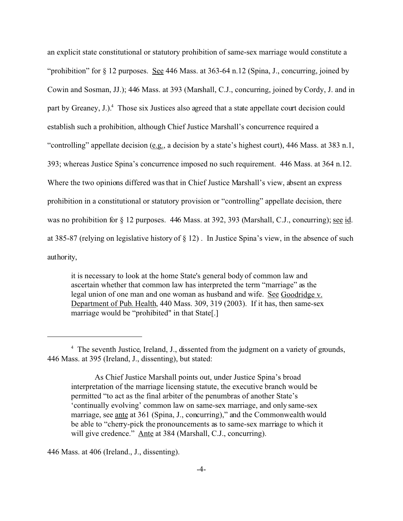an explicit state constitutional or statutory prohibition of same-sex marriage would constitute a "prohibition" for § 12 purposes. See 446 Mass. at 363-64 n.12 (Spina, J., concurring, joined by Cowin and Sosman, JJ.); 446 Mass. at 393 (Marshall, C.J., concurring, joined by Cordy, J. and in part by Greaney, J.).<sup>4</sup> Those six Justices also agreed that a state appellate court decision could establish such a prohibition, although Chief Justice Marshall's concurrence required a "controlling" appellate decision (e.g., a decision by a state's highest court), 446 Mass. at 383 n.1, 393; whereas Justice Spina's concurrence imposed no such requirement. 446 Mass. at 364 n.12. Where the two opinions differed was that in Chief Justice Marshall's view, absent an express prohibition in a constitutional or statutory provision or "controlling" appellate decision, there was no prohibition for § 12 purposes. 446 Mass. at 392, 393 (Marshall, C.J., concurring); <u>see id</u>. at 385-87 (relying on legislative history of § 12) . In Justice Spina's view, in the absence of such authority,

it is necessary to look at the home State's general body of common law and ascertain whether that common law has interpreted the term "marriage" as the legal union of one man and one woman as husband and wife. See Goodridge v. Department of Pub. Health, 440 Mass. 309, 319 (2003). If it has, then same-sex marriage would be "prohibited" in that State[.]

446 Mass. at 406 (Ireland., J., dissenting).

<sup>&</sup>lt;sup>4</sup> The seventh Justice, Ireland, J., dissented from the judgment on a variety of grounds, 446 Mass. at 395 (Ireland, J., dissenting), but stated:

As Chief Justice Marshall points out, under Justice Spina's broad interpretation of the marriage licensing statute, the executive branch would be permitted "to act as the final arbiter of the penumbras of another State's 'continually evolving' common law on same-sex marriage, and only same-sex marriage, see ante at 361 (Spina, J., concurring)," and the Commonwealth would be able to "cherry-pick the pronouncements as to same-sex marriage to which it will give credence." Ante at 384 (Marshall, C.J., concurring).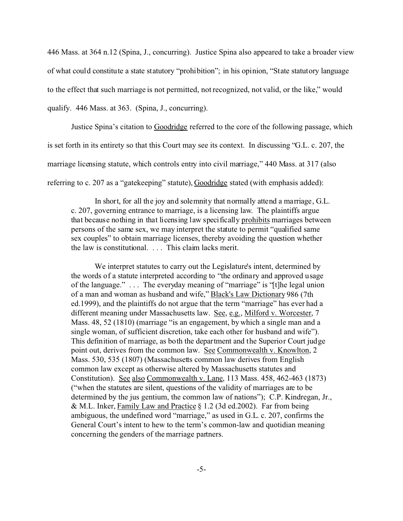446 Mass. at 364 n.12 (Spina, J., concurring). Justice Spina also appeared to take a broader view of what could constitute a state statutory "prohibition"; in his opinion, "State statutory language to the effect that such marriage is not permitted, not recognized, not valid, or the like," would qualify. 446 Mass. at 363. (Spina, J., concurring).

Justice Spina's citation to Goodridge referred to the core of the following passage, which is set forth in its entirety so that this Court may see its context. In discussing "G.L. c. 207, the marriage licensing statute, which controls entry into civil marriage," 440 Mass. at 317 (also referring to c. 207 as a "gatekeeping" statute), Goodridge stated (with emphasis added):

In short, for all the joy and solemnity that normally attend a marriage, G.L. c. 207, governing entrance to marriage, is a licensing law. The plaintiffs argue that because nothing in that licensing law specifically prohibits marriages between persons of the same sex, we may interpret the statute to permit "qualified same sex couples" to obtain marriage licenses, thereby avoiding the question whether the law is constitutional. . . . This claim lacks merit.

We interpret statutes to carry out the Legislature's intent, determined by the words of a statute interpreted according to "the ordinary and approved usage of the language." . . . The everyday meaning of "marriage" is "[t]he legal union of a man and woman as husband and wife," Black's Law Dictionary 986 (7th ed.1999), and the plaintiffs do not argue that the term "marriage" has ever had a different meaning under Massachusetts law. See, e.g., Milford v. Worcester, 7 Mass. 48, 52 (1810) (marriage "is an engagement, by which a single man and a single woman, of sufficient discretion, take each other for husband and wife"). This definition of marriage, as both the department and the Superior Court judge point out, derives from the common law. See Commonwealth v. Knowlton, 2 Mass. 530, 535 (1807) (Massachusetts common law derives from English common law except as otherwise altered by Massachusetts statutes and Constitution). See also Commonwealth v. Lane, 113 Mass. 458, 462-463 (1873) ("when the statutes are silent, questions of the validity of marriages are to be determined by the jus gentium, the common law of nations"); C.P. Kindregan, Jr., & M.L. Inker, Family Law and Practice § 1.2 (3d ed.2002). Far from being ambiguous, the undefined word "marriage," as used in G.L. c. 207, confirms the General Court's intent to hew to the term's common-law and quotidian meaning concerning the genders of the marriage partners.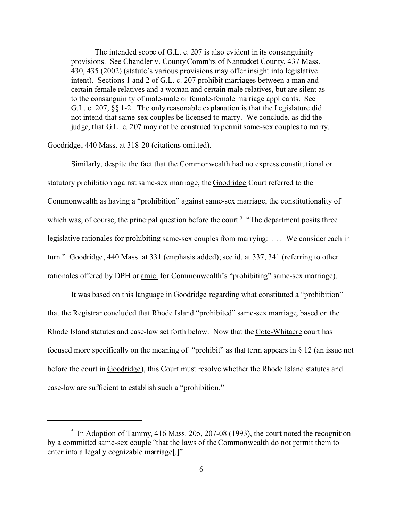The intended scope of G.L. c. 207 is also evident in its consanguinity provisions. See Chandler v. County Comm'rs of Nantucket County, 437 Mass. 430, 435 (2002) (statute's various provisions may offer insight into legislative intent). Sections 1 and 2 of G.L. c. 207 prohibit marriages between a man and certain female relatives and a woman and certain male relatives, but are silent as to the consanguinity of male-male or female-female marriage applicants. See G.L. c. 207, §§ 1-2. The only reasonable explanation is that the Legislature did not intend that same-sex couples be licensed to marry. We conclude, as did the judge, that G.L. c. 207 may not be construed to permit same-sex couples to marry.

Goodridge, 440 Mass. at 318-20 (citations omitted).

Similarly, despite the fact that the Commonwealth had no express constitutional or statutory prohibition against same-sex marriage, the Goodridge Court referred to the Commonwealth as having a "prohibition" against same-sex marriage, the constitutionality of which was, of course, the principal question before the court.<sup>5</sup> "The department posits three legislative rationales for prohibiting same-sex couples from marrying: ... We consider each in turn." Goodridge, 440 Mass. at 331 (emphasis added); see id. at 337, 341 (referring to other rationales offered by DPH or amici for Commonwealth's "prohibiting" same-sex marriage).

It was based on this language in Goodridge regarding what constituted a "prohibition" that the Registrar concluded that Rhode Island "prohibited" same-sex marriage, based on the Rhode Island statutes and case-law set forth below. Now that the Cote-Whitacre court has focused more specifically on the meaning of "prohibit" as that term appears in § 12 (an issue not before the court in Goodridge), this Court must resolve whether the Rhode Island statutes and case-law are sufficient to establish such a "prohibition."

<sup>&</sup>lt;sup>5</sup> In Adoption of Tammy, 416 Mass. 205, 207-08 (1993), the court noted the recognition by a committed same-sex couple "that the laws of the Commonwealth do not permit them to enter into a legally cognizable marriage[.]"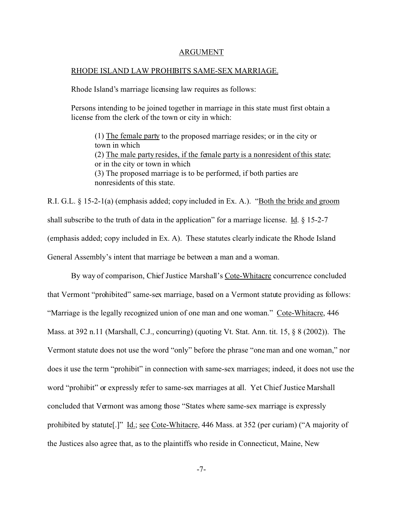#### ARGUMENT

#### RHODE ISLAND LAW PROHIBITS SAME-SEX MARRIAGE.

Rhode Island's marriage licensing law requires as follows:

Persons intending to be joined together in marriage in this state must first obtain a license from the clerk of the town or city in which:

(1) The female party to the proposed marriage resides; or in the city or town in which (2) The male party resides, if the female party is a nonresident of this state; or in the city or town in which (3) The proposed marriage is to be performed, if both parties are nonresidents of this state.

R.I. G.L. § 15-2-1(a) (emphasis added; copy included in Ex. A.). "Both the bride and groom shall subscribe to the truth of data in the application" for a marriage license. Id.  $\S$  15-2-7 (emphasis added; copy included in Ex. A). These statutes clearly indicate the Rhode Island General Assembly's intent that marriage be between a man and a woman.

By way of comparison, Chief Justice Marshall's Cote-Whitacre concurrence concluded that Vermont "prohibited" same-sex marriage, based on a Vermont statute providing as follows: "Marriage is the legally recognized union of one man and one woman." Cote-Whitacre, 446 Mass. at 392 n.11 (Marshall, C.J., concurring) (quoting Vt. Stat. Ann. tit. 15, § 8 (2002)). The Vermont statute does not use the word "only" before the phrase "one man and one woman," nor does it use the term "prohibit" in connection with same-sex marriages; indeed, it does not use the word "prohibit" or expressly refer to same-sex marriages at all. Yet Chief Justice Marshall concluded that Vermont was among those "States where same-sex marriage is expressly prohibited by statute<sup>[1]</sup>. Id.; see Cote-Whitacre, 446 Mass. at 352 (per curiam) ("A majority of the Justices also agree that, as to the plaintiffs who reside in Connecticut, Maine, New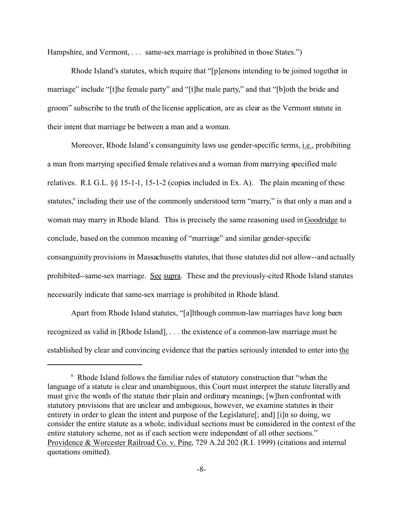Hampshire, and Vermont, ... same-sex marriage is prohibited in those States.")

Rhode Island's statutes, which require that "[p]ersons intending to be joined together in marriage" include "[t]he female party" and "[t]he male party," and that "[b]oth the bride and groom" subscribe to the truth of the license application, are as clear as the Vermont statute in their intent that marriage be between a man and a woman.

Moreover, Rhode Island's consanguinity laws use gender-specific terms, i.e., prohibiting a man from marrying specified female relatives and a woman from marrying specified male relatives. R.I. G.L. §§ 15-1-1, 15-1-2 (copies included in Ex. A). The plain meaning of these statutes,<sup>6</sup> including their use of the commonly understood term "marry," is that only a man and a woman may marry in Rhode Island. This is precisely the same reasoning used in Goodridge to conclude, based on the common meaning of "marriage" and similar gender-specific consanguinity provisions in Massachusetts statutes, that those statutes did not allow--and actually prohibited--same-sex marriage. See supra. These and the previously-cited Rhode Island statutes necessarily indicate that same-sex marriage is prohibited in Rhode Island.

Apart from Rhode Island statutes, "[a]lthough common-law marriages have long been recognized as valid in [Rhode Island], . . . the existence of a common-law marriage must be established by clear and convincing evidence that the parties seriously intended to enter into the

<sup>6</sup> Rhode Island follows the familiar rules of statutory construction that "when the language of a statute is clear and unambiguous, this Court must interpret the statute literally and must give the words of the statute their plain and ordinary meanings; [w]hen confronted with statutory provisions that are unclear and ambiguous, however, we examine statutes in their entirety in order to glean the intent and purpose of the Legislature[; and] [i]n so doing, we consider the entire statute as a whole; individual sections must be considered in the context of the entire statutory scheme, not as if each section were independent of all other sections." Providence & Worcester Railroad Co. v. Pine, 729 A.2d 202 (R.I. 1999) (citations and internal quotations omitted).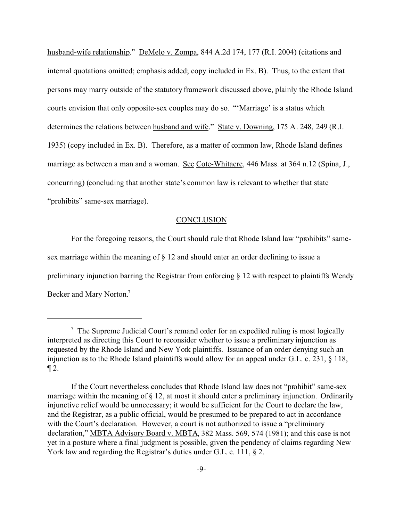husband-wife relationship." DeMelo v. Zompa, 844 A.2d 174, 177 (R.I. 2004) (citations and internal quotations omitted; emphasis added; copy included in Ex. B). Thus, to the extent that persons may marry outside of the statutory framework discussed above, plainly the Rhode Island courts envision that only opposite-sex couples may do so. "'Marriage' is a status which determines the relations between husband and wife." State v. Downing, 175 A. 248, 249 (R.I. 1935) (copy included in Ex. B). Therefore, as a matter of common law, Rhode Island defines marriage as between a man and a woman. See Cote-Whitacre, 446 Mass. at 364 n.12 (Spina, J., concurring) (concluding that another state's common law is relevant to whether that state "prohibits" same-sex marriage).

## **CONCLUSION**

For the foregoing reasons, the Court should rule that Rhode Island law "prohibits" samesex marriage within the meaning of § 12 and should enter an order declining to issue a preliminary injunction barring the Registrar from enforcing  $\S$  12 with respect to plaintiffs Wendy Becker and Mary Norton.7

 $7$  The Supreme Judicial Court's remand order for an expedited ruling is most logically interpreted as directing this Court to reconsider whether to issue a preliminary injunction as requested by the Rhode Island and New York plaintiffs. Issuance of an order denying such an injunction as to the Rhode Island plaintiffs would allow for an appeal under G.L. c. 231, § 118,  $\P 2$ .

If the Court nevertheless concludes that Rhode Island law does not "prohibit" same-sex marriage within the meaning of § 12, at most it should enter a preliminary injunction. Ordinarily injunctive relief would be unnecessary; it would be sufficient for the Court to declare the law, and the Registrar, as a public official, would be presumed to be prepared to act in accordance with the Court's declaration. However, a court is not authorized to issue a "preliminary" declaration," MBTA Advisory Board v. MBTA, 382 Mass. 569, 574 (1981); and this case is not yet in a posture where a final judgment is possible, given the pendency of claims regarding New York law and regarding the Registrar's duties under G.L. c. 111, § 2.